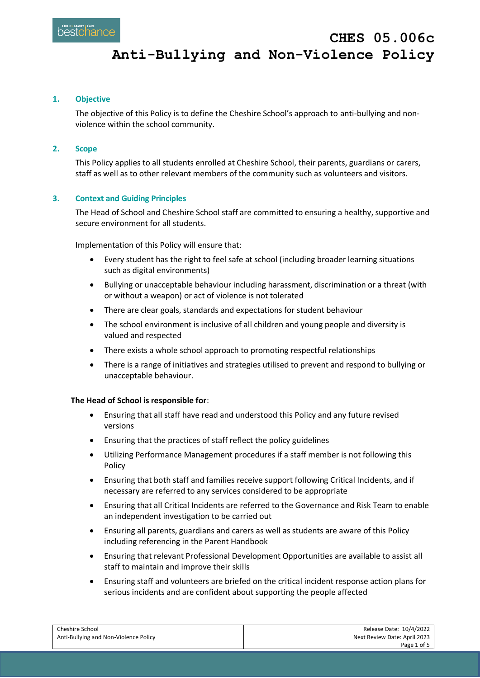# **Anti-Bullying and Non-Violence Policy**

# **1. Objective**

The objective of this Policy is to define the Cheshire School's approach to anti-bullying and nonviolence within the school community.

# **2. Scope**

This Policy applies to all students enrolled at Cheshire School, their parents, guardians or carers, staff as well as to other relevant members of the community such as volunteers and visitors.

# **3. Context and Guiding Principles**

The Head of School and Cheshire School staff are committed to ensuring a healthy, supportive and secure environment for all students.

Implementation of this Policy will ensure that:

- Every student has the right to feel safe at school (including broader learning situations such as digital environments)
- Bullying or unacceptable behaviour including harassment, discrimination or a threat (with or without a weapon) or act of violence is not tolerated
- There are clear goals, standards and expectations for student behaviour
- The school environment is inclusive of all children and young people and diversity is valued and respected
- There exists a whole school approach to promoting respectful relationships
- There is a range of initiatives and strategies utilised to prevent and respond to bullying or unacceptable behaviour.

# **The Head of School is responsible for**:

- Ensuring that all staff have read and understood this Policy and any future revised versions
- Ensuring that the practices of staff reflect the policy guidelines
- Utilizing Performance Management procedures if a staff member is not following this Policy
- Ensuring that both staff and families receive support following Critical Incidents, and if necessary are referred to any services considered to be appropriate
- Ensuring that all Critical Incidents are referred to the Governance and Risk Team to enable an independent investigation to be carried out
- Ensuring all parents, guardians and carers as well as students are aware of this Policy including referencing in the Parent Handbook
- Ensuring that relevant Professional Development Opportunities are available to assist all staff to maintain and improve their skills
- Ensuring staff and volunteers are briefed on the critical incident response action plans for serious incidents and are confident about supporting the people affected

| Cheshire School                       | Release Date: 10/4/2022      |
|---------------------------------------|------------------------------|
| Anti-Bullying and Non-Violence Policy | Next Review Date: April 2023 |
|                                       | Page 1 of 5                  |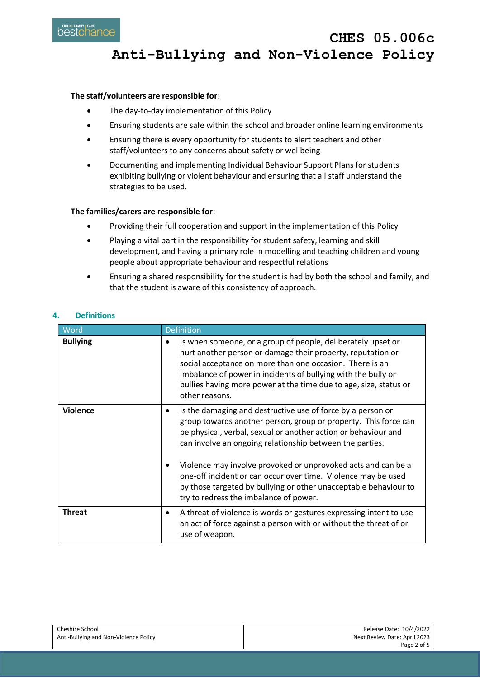

# **Anti-Bullying and Non-Violence Policy**

#### **The staff/volunteers are responsible for**:

- The day-to-day implementation of this Policy
- Ensuring students are safe within the school and broader online learning environments
- Ensuring there is every opportunity for students to alert teachers and other staff/volunteers to any concerns about safety or wellbeing
- Documenting and implementing Individual Behaviour Support Plans for students exhibiting bullying or violent behaviour and ensuring that all staff understand the strategies to be used.

# **The families/carers are responsible for**:

- Providing their full cooperation and support in the implementation of this Policy
- Playing a vital part in the responsibility for student safety, learning and skill development, and having a primary role in modelling and teaching children and young people about appropriate behaviour and respectful relations
- Ensuring a shared responsibility for the student is had by both the school and family, and that the student is aware of this consistency of approach.

#### **4. Definitions**

| Word            | <b>Definition</b>                                                                                                                                                                                                                                                                                                                                            |
|-----------------|--------------------------------------------------------------------------------------------------------------------------------------------------------------------------------------------------------------------------------------------------------------------------------------------------------------------------------------------------------------|
| <b>Bullying</b> | Is when someone, or a group of people, deliberately upset or<br>$\bullet$<br>hurt another person or damage their property, reputation or<br>social acceptance on more than one occasion. There is an<br>imbalance of power in incidents of bullying with the bully or<br>bullies having more power at the time due to age, size, status or<br>other reasons. |
| <b>Violence</b> | Is the damaging and destructive use of force by a person or<br>٠<br>group towards another person, group or property. This force can<br>be physical, verbal, sexual or another action or behaviour and<br>can involve an ongoing relationship between the parties.                                                                                            |
|                 | Violence may involve provoked or unprovoked acts and can be a<br>$\bullet$<br>one-off incident or can occur over time. Violence may be used<br>by those targeted by bullying or other unacceptable behaviour to<br>try to redress the imbalance of power.                                                                                                    |
| <b>Threat</b>   | A threat of violence is words or gestures expressing intent to use<br>٠<br>an act of force against a person with or without the threat of or<br>use of weapon.                                                                                                                                                                                               |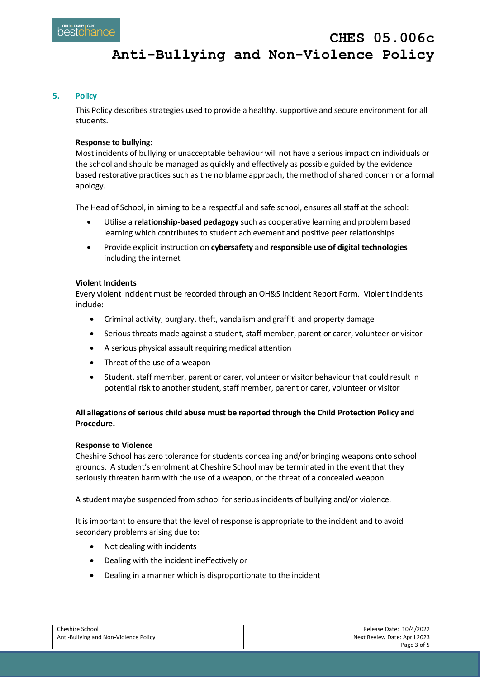#### **5. Policy**

This Policy describes strategies used to provide a healthy, supportive and secure environment for all students.

#### **Response to bullying:**

Most incidents of bullying or unacceptable behaviour will not have a serious impact on individuals or the school and should be managed as quickly and effectively as possible guided by the evidence based restorative practices such as the no blame approach, the method of shared concern or a formal apology.

The Head of School, in aiming to be a respectful and safe school, ensures all staff at the school:

- Utilise a **relationship-based pedagogy** such as cooperative learning and problem based learning which contributes to student achievement and positive peer relationships
- Provide explicit instruction on **cybersafety** and **responsible use of digital technologies** including the internet

#### **Violent Incidents**

Every violent incident must be recorded through an OH&S Incident Report Form. Violent incidents include:

- Criminal activity, burglary, theft, vandalism and graffiti and property damage
- Serious threats made against a student, staff member, parent or carer, volunteer or visitor
- A serious physical assault requiring medical attention
- Threat of the use of a weapon
- Student, staff member, parent or carer, volunteer or visitor behaviour that could result in potential risk to another student, staff member, parent or carer, volunteer or visitor

# **All allegations of serious child abuse must be reported through the Child Protection Policy and Procedure.**

#### **Response to Violence**

Cheshire School has zero tolerance for students concealing and/or bringing weapons onto school grounds. A student's enrolment at Cheshire School may be terminated in the event that they seriously threaten harm with the use of a weapon, or the threat of a concealed weapon.

A student maybe suspended from school for serious incidents of bullying and/or violence.

It is important to ensure that the level of response is appropriate to the incident and to avoid secondary problems arising due to:

- Not dealing with incidents
- Dealing with the incident ineffectively or
- Dealing in a manner which is disproportionate to the incident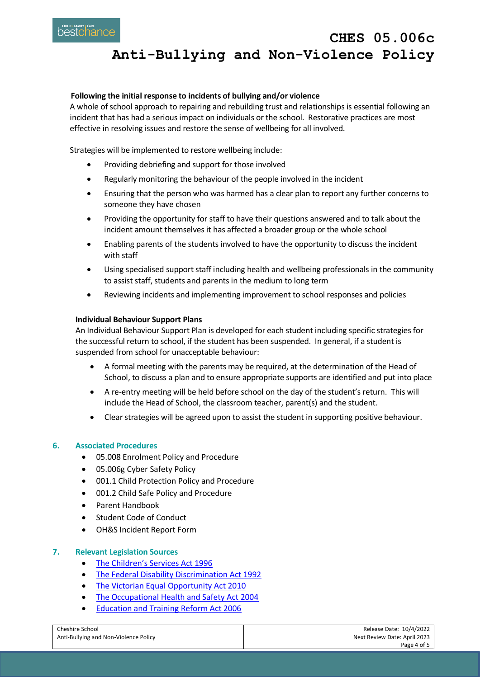**CHES 05.006c Anti-Bullying and Non-Violence Policy**

### **Following the initial response to incidents of bullying and/or violence**

A whole of school approach to repairing and rebuilding trust and relationships is essential following an incident that has had a serious impact on individuals or the school. Restorative practices are most effective in resolving issues and restore the sense of wellbeing for all involved.

Strategies will be implemented to restore wellbeing include:

- Providing debriefing and support for those involved
- Regularly monitoring the behaviour of the people involved in the incident
- Ensuring that the person who was harmed has a clear plan to report any further concerns to someone they have chosen
- Providing the opportunity for staff to have their questions answered and to talk about the incident amount themselves it has affected a broader group or the whole school
- Enabling parents of the students involved to have the opportunity to discuss the incident with staff
- Using specialised support staff including health and wellbeing professionals in the community to assist staff, students and parents in the medium to long term
- Reviewing incidents and implementing improvement to school responses and policies

#### **Individual Behaviour Support Plans**

An Individual Behaviour Support Plan is developed for each student including specific strategies for the successful return to school, if the student has been suspended. In general, if a student is suspended from school for unacceptable behaviour:

- A formal meeting with the parents may be required, at the determination of the Head of School, to discuss a plan and to ensure appropriate supports are identified and put into place
- A re-entry meeting will be held before school on the day of the student's return. This will include the Head of School, the classroom teacher, parent(s) and the student.
- Clear strategies will be agreed upon to assist the student in supporting positive behaviour.

#### **6. Associated Procedures**

- 05.008 Enrolment Policy and Procedure
- 05.006g Cyber Safety Policy
- 001.1 Child Protection Policy and Procedure
- 001.2 Child Safe Policy and Procedure
- Parent Handbook
- Student Code of Conduct
- OH&S Incident Report Form

#### **7. Relevant Legislation Sources**

- [The Children's Services Act 1996](https://www.education.vic.gov.au/Documents/childhood/providers/regulation/childservicesact96.pdf)
- [The Federal Disability Discrimination Act 1992](https://www.legislation.gov.au/Details/C2016C00763)
- [The Victorian Equal Opportunity Act 2010](https://www.justice.vic.gov.au/equal-opportunity#:~:text=Victoria%20has%20had%20an%20Equal,who%20have%20been%20discriminated%20against.)
- [The Occupational Health and Safety Act 2004](https://www.worksafe.vic.gov.au/occupational-health-and-safety-act-and-regulations)
- [Education and Training Reform Act 2006](https://www.legislation.vic.gov.au/in-force/acts/education-and-training-reform-act-2006/092)

| Cheshire School                       | Release Date: 10/4/2022      |
|---------------------------------------|------------------------------|
| Anti-Bullying and Non-Violence Policy | Next Review Date: April 2023 |
|                                       | Page 4 of 5                  |